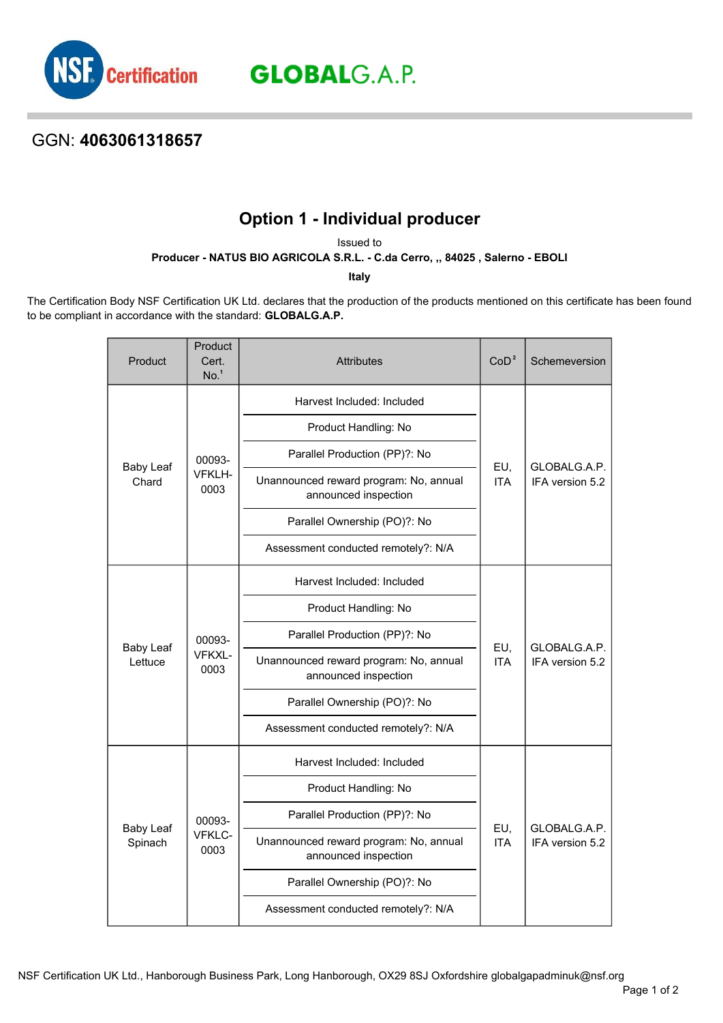

**GLOBAL**G.A.P.

## GGN: **4063061318657**

## **Option 1 - Individual producer**

Issued to

**Producer - NATUS BIO AGRICOLA S.R.L. - C.da Cerro, ,, 84025 , Salerno - EBOLI**

**Italy**

The Certification Body NSF Certification UK Ltd. declares that the production of the products mentioned on this certificate has been found to be compliant in accordance with the standard: **GLOBALG.A.P.**

| Product                     | Product<br>Cert.<br>No. <sup>1</sup> | <b>Attributes</b>                                              | CoD <sup>2</sup>  | Schemeversion                   |
|-----------------------------|--------------------------------------|----------------------------------------------------------------|-------------------|---------------------------------|
| <b>Baby Leaf</b><br>Chard   | 00093-<br>VFKLH-<br>0003             | Harvest Included: Included                                     | EU,<br><b>ITA</b> | GLOBALG.A.P.<br>IFA version 5.2 |
|                             |                                      | Product Handling: No                                           |                   |                                 |
|                             |                                      | Parallel Production (PP)?: No                                  |                   |                                 |
|                             |                                      | Unannounced reward program: No, annual<br>announced inspection |                   |                                 |
|                             |                                      | Parallel Ownership (PO)?: No                                   |                   |                                 |
|                             |                                      | Assessment conducted remotely?: N/A                            |                   |                                 |
| <b>Baby Leaf</b><br>Lettuce | 00093-<br>VFKXL-<br>0003             | Harvest Included: Included                                     | EU,<br><b>ITA</b> | GLOBALG.A.P.<br>IFA version 5.2 |
|                             |                                      | Product Handling: No                                           |                   |                                 |
|                             |                                      | Parallel Production (PP)?: No                                  |                   |                                 |
|                             |                                      | Unannounced reward program: No, annual<br>announced inspection |                   |                                 |
|                             |                                      | Parallel Ownership (PO)?: No                                   |                   |                                 |
|                             |                                      | Assessment conducted remotely?: N/A                            |                   |                                 |
| <b>Baby Leaf</b><br>Spinach | 00093-<br>VFKLC-<br>0003             | Harvest Included: Included                                     | EU,<br><b>ITA</b> | GLOBALG.A.P.<br>IFA version 5.2 |
|                             |                                      | Product Handling: No                                           |                   |                                 |
|                             |                                      | Parallel Production (PP)?: No                                  |                   |                                 |
|                             |                                      | Unannounced reward program: No, annual<br>announced inspection |                   |                                 |
|                             |                                      | Parallel Ownership (PO)?: No                                   |                   |                                 |
|                             |                                      | Assessment conducted remotely?: N/A                            |                   |                                 |